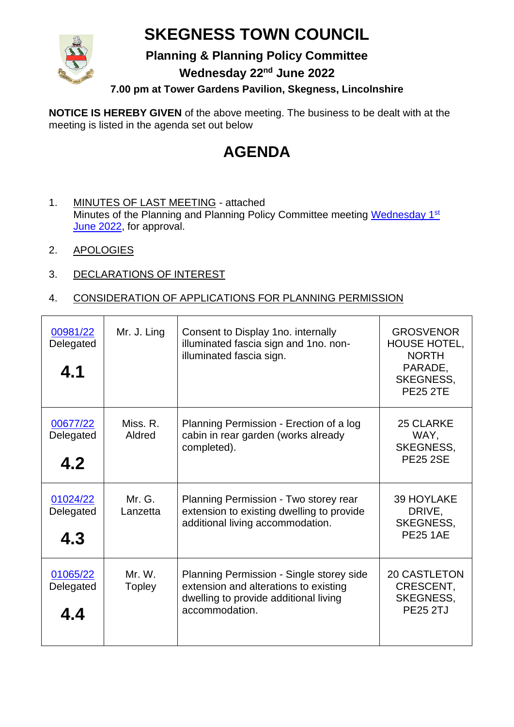## **SKEGNESS TOWN COUNCIL**



**Planning & Planning Policy Committee**

**Wednesday 22nd June 2022**

**7.00 pm at Tower Gardens Pavilion, Skegness, Lincolnshire**

**NOTICE IS HEREBY GIVEN** of the above meeting. The business to be dealt with at the meeting is listed in the agenda set out below

## **AGENDA**

- 1. MINUTES OF LAST MEETING attached Minutes of the Planning and Planning Policy Committee meeting [Wednesday 1](https://www.skegness.gov.uk/uploads/minsdraft-planning-pp-2022-06-01.pdf?v=1654685552)<sup>st</sup> [June 2022,](https://www.skegness.gov.uk/uploads/minsdraft-planning-pp-2022-06-01.pdf?v=1654685552) for approval.
- 2. APOLOGIES
- 3. DECLARATIONS OF INTEREST

## 4. CONSIDERATION OF APPLICATIONS FOR PLANNING PERMISSION

| 00981/22<br>Delegated<br>4.1 | Mr. J. Ling             | Consent to Display 1no. internally<br>illuminated fascia sign and 1no. non-<br>illuminated fascia sign.                                      | <b>GROSVENOR</b><br><b>HOUSE HOTEL,</b><br><b>NORTH</b><br>PARADE,<br><b>SKEGNESS,</b><br><b>PE25 2TE</b> |
|------------------------------|-------------------------|----------------------------------------------------------------------------------------------------------------------------------------------|-----------------------------------------------------------------------------------------------------------|
| 00677/22<br>Delegated<br>4.2 | Miss. R.<br>Aldred      | Planning Permission - Erection of a log<br>cabin in rear garden (works already<br>completed).                                                | 25 CLARKE<br>WAY,<br><b>SKEGNESS,</b><br><b>PE25 2SE</b>                                                  |
| 01024/22<br>Delegated<br>4.3 | Mr. G.<br>Lanzetta      | Planning Permission - Two storey rear<br>extension to existing dwelling to provide<br>additional living accommodation.                       | <b>39 HOYLAKE</b><br>DRIVE,<br><b>SKEGNESS,</b><br><b>PE25 1AE</b>                                        |
| 01065/22<br>Delegated<br>4.4 | Mr. W.<br><b>Topley</b> | Planning Permission - Single storey side<br>extension and alterations to existing<br>dwelling to provide additional living<br>accommodation. | <b>20 CASTLETON</b><br>CRESCENT,<br><b>SKEGNESS,</b><br><b>PE25 2TJ</b>                                   |